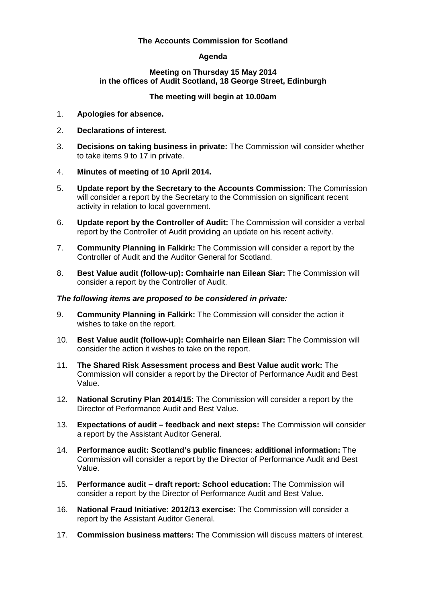## **The Accounts Commission for Scotland**

# **Agenda**

### **Meeting on Thursday 15 May 2014 in the offices of Audit Scotland, 18 George Street, Edinburgh**

# **The meeting will begin at 10.00am**

- 1. **Apologies for absence.**
- 2. **Declarations of interest.**
- 3. **Decisions on taking business in private:** The Commission will consider whether to take items 9 to 17 in private.
- 4. **Minutes of meeting of 10 April 2014.**
- 5. **Update report by the Secretary to the Accounts Commission:** The Commission will consider a report by the Secretary to the Commission on significant recent activity in relation to local government.
- 6. **Update report by the Controller of Audit:** The Commission will consider a verbal report by the Controller of Audit providing an update on his recent activity.
- 7. **Community Planning in Falkirk:** The Commission will consider a report by the Controller of Audit and the Auditor General for Scotland.
- 8. **Best Value audit (follow-up): Comhairle nan Eilean Siar:** The Commission will consider a report by the Controller of Audit.

### *The following items are proposed to be considered in private:*

- 9. **Community Planning in Falkirk:** The Commission will consider the action it wishes to take on the report.
- 10. **Best Value audit (follow-up): Comhairle nan Eilean Siar:** The Commission will consider the action it wishes to take on the report.
- 11. **The Shared Risk Assessment process and Best Value audit work:** The Commission will consider a report by the Director of Performance Audit and Best Value.
- 12. **National Scrutiny Plan 2014/15:** The Commission will consider a report by the Director of Performance Audit and Best Value.
- 13. **Expectations of audit – feedback and next steps:** The Commission will consider a report by the Assistant Auditor General.
- 14. **Performance audit: Scotland's public finances: additional information:** The Commission will consider a report by the Director of Performance Audit and Best Value.
- 15. **Performance audit – draft report: School education:** The Commission will consider a report by the Director of Performance Audit and Best Value.
- 16. **National Fraud Initiative: 2012/13 exercise:** The Commission will consider a report by the Assistant Auditor General.
- 17. **Commission business matters:** The Commission will discuss matters of interest.